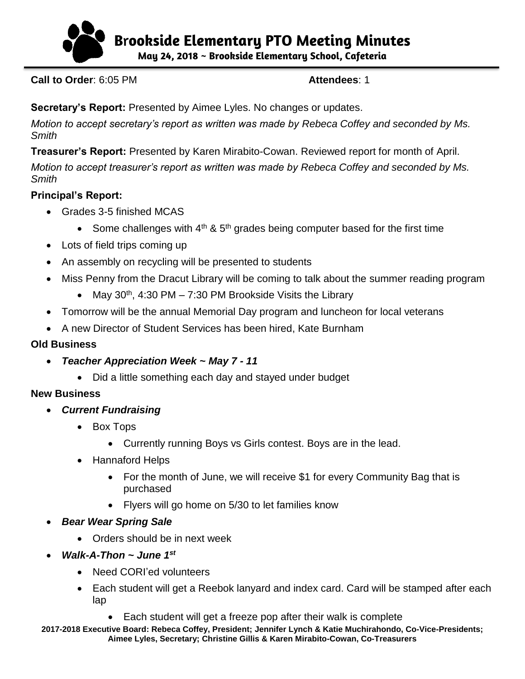

**B**r**ookside Elementary PTO Meeting Minutes**

**May 24, 2018 ~ Brookside Elementary School, Cafeteria** 

**Call to Order: 6:05 PM <b>Attendees: 1** 

**Secretary's Report:** Presented by Aimee Lyles. No changes or updates.

*Motion to accept secretary's report as written was made by Rebeca Coffey and seconded by Ms. Smith*

**Treasurer's Report:** Presented by Karen Mirabito-Cowan. Reviewed report for month of April.

*Motion to accept treasurer's report as written was made by Rebeca Coffey and seconded by Ms. Smith*

## **Principal's Report:**

- Grades 3-5 finished MCAS
	- Some challenges with  $4<sup>th</sup>$  & 5<sup>th</sup> grades being computer based for the first time
- Lots of field trips coming up
- An assembly on recycling will be presented to students
- Miss Penny from the Dracut Library will be coming to talk about the summer reading program
	- May  $30<sup>th</sup>$ , 4:30 PM 7:30 PM Brookside Visits the Library
- Tomorrow will be the annual Memorial Day program and luncheon for local veterans
- A new Director of Student Services has been hired, Kate Burnham

# **Old Business**

- *Teacher Appreciation Week ~ May 7 - 11*
	- Did a little something each day and stayed under budget

## **New Business**

- *Current Fundraising*
	- Box Tops
		- Currently running Boys vs Girls contest. Boys are in the lead.
	- Hannaford Helps
		- For the month of June, we will receive \$1 for every Community Bag that is purchased
		- Flyers will go home on 5/30 to let families know
- *Bear Wear Spring Sale*
	- Orders should be in next week
- *Walk-A-Thon ~ June 1 st*
	- Need CORI'ed volunteers
	- Each student will get a Reebok lanyard and index card. Card will be stamped after each lap
		- Each student will get a freeze pop after their walk is complete

**2017-2018 Executive Board: Rebeca Coffey, President; Jennifer Lynch & Katie Muchirahondo, Co-Vice-Presidents; Aimee Lyles, Secretary; Christine Gillis & Karen Mirabito-Cowan, Co-Treasurers**